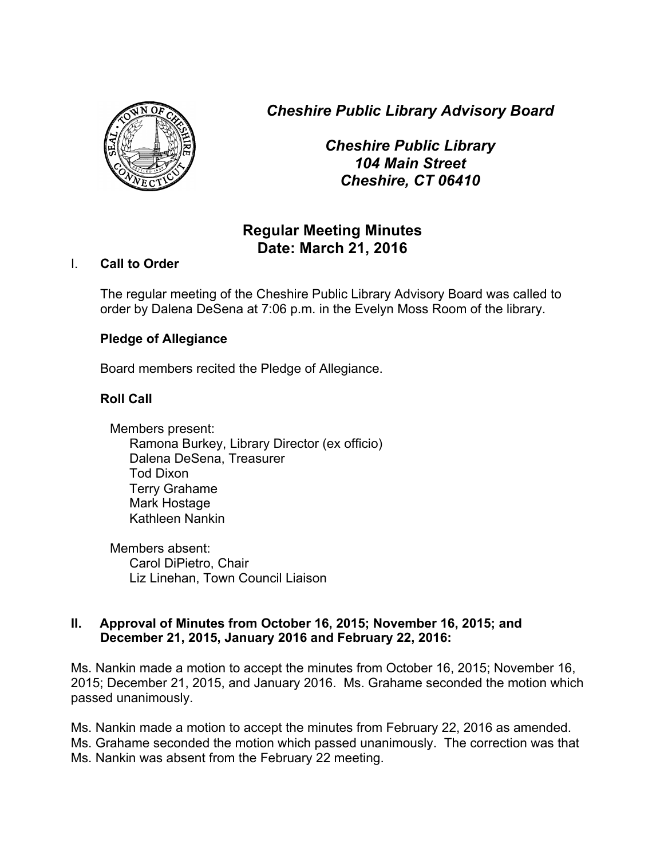*Cheshire Public Library Advisory Board*



*Cheshire Public Library 104 Main Street Cheshire, CT 06410*

# **Regular Meeting Minutes Date: March 21, 2016**

# I. **Call to Order**

The regular meeting of the Cheshire Public Library Advisory Board was called to order by Dalena DeSena at 7:06 p.m. in the Evelyn Moss Room of the library.

# **Pledge of Allegiance**

Board members recited the Pledge of Allegiance.

# **Roll Call**

Members present: Ramona Burkey, Library Director (ex officio) Dalena DeSena, Treasurer Tod Dixon Terry Grahame Mark Hostage Kathleen Nankin

Members absent: Carol DiPietro, Chair Liz Linehan, Town Council Liaison

## **II. Approval of Minutes from October 16, 2015; November 16, 2015; and December 21, 2015, January 2016 and February 22, 2016:**

Ms. Nankin made a motion to accept the minutes from October 16, 2015; November 16, 2015; December 21, 2015, and January 2016. Ms. Grahame seconded the motion which passed unanimously.

Ms. Nankin made a motion to accept the minutes from February 22, 2016 as amended. Ms. Grahame seconded the motion which passed unanimously. The correction was that Ms. Nankin was absent from the February 22 meeting.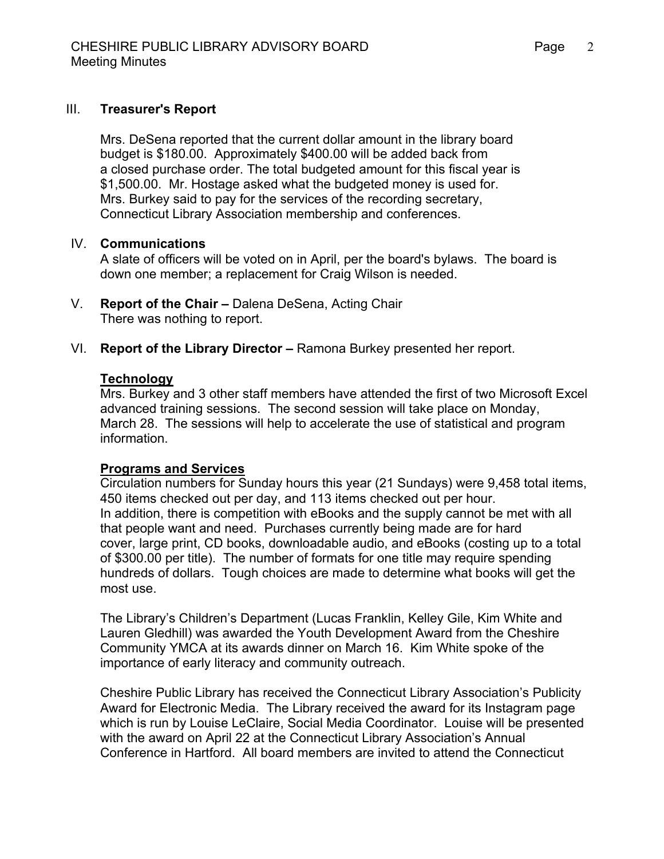### III. **Treasurer's Report**

Mrs. DeSena reported that the current dollar amount in the library board budget is \$180.00. Approximately \$400.00 will be added back from a closed purchase order. The total budgeted amount for this fiscal year is \$1,500.00. Mr. Hostage asked what the budgeted money is used for. Mrs. Burkey said to pay for the services of the recording secretary, Connecticut Library Association membership and conferences.

#### IV. **Communications**

A slate of officers will be voted on in April, per the board's bylaws. The board is down one member; a replacement for Craig Wilson is needed.

- V. **Report of the Chair –** Dalena DeSena, Acting Chair There was nothing to report.
- VI. **Report of the Library Director –** Ramona Burkey presented her report.

#### **Technology**

Mrs. Burkey and 3 other staff members have attended the first of two Microsoft Excel advanced training sessions. The second session will take place on Monday, March 28. The sessions will help to accelerate the use of statistical and program information.

#### **Programs and Services**

Circulation numbers for Sunday hours this year (21 Sundays) were 9,458 total items, 450 items checked out per day, and 113 items checked out per hour. In addition, there is competition with eBooks and the supply cannot be met with all that people want and need. Purchases currently being made are for hard cover, large print, CD books, downloadable audio, and eBooks (costing up to a total of \$300.00 per title). The number of formats for one title may require spending hundreds of dollars. Tough choices are made to determine what books will get the most use.

The Library's Children's Department (Lucas Franklin, Kelley Gile, Kim White and Lauren Gledhill) was awarded the Youth Development Award from the Cheshire Community YMCA at its awards dinner on March 16. Kim White spoke of the importance of early literacy and community outreach.

Cheshire Public Library has received the Connecticut Library Association's Publicity Award for Electronic Media. The Library received the award for its Instagram page which is run by Louise LeClaire, Social Media Coordinator. Louise will be presented with the award on April 22 at the Connecticut Library Association's Annual Conference in Hartford. All board members are invited to attend the Connecticut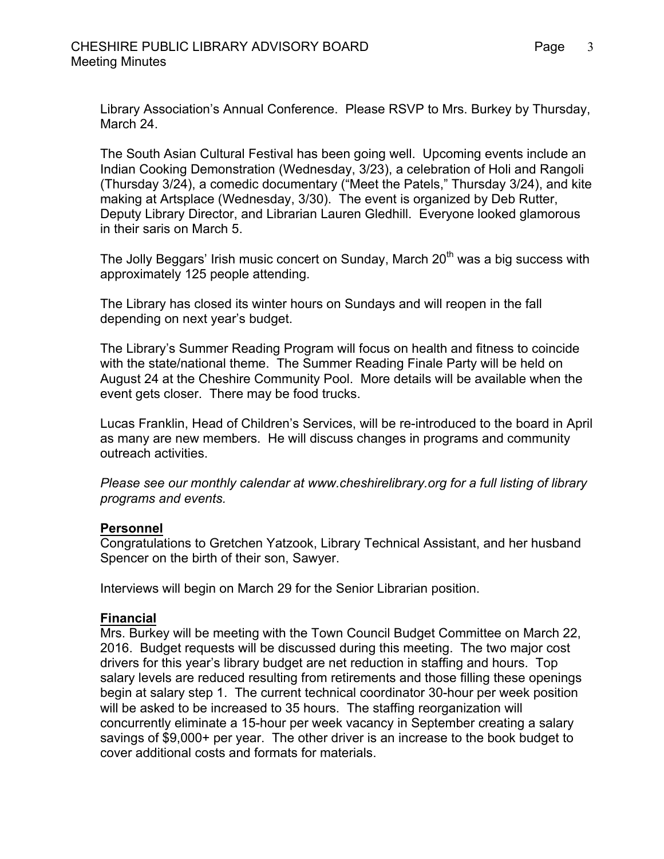Library Association's Annual Conference. Please RSVP to Mrs. Burkey by Thursday, March 24.

The South Asian Cultural Festival has been going well. Upcoming events include an Indian Cooking Demonstration (Wednesday, 3/23), a celebration of Holi and Rangoli (Thursday 3/24), a comedic documentary ("Meet the Patels," Thursday 3/24), and kite making at Artsplace (Wednesday, 3/30). The event is organized by Deb Rutter, Deputy Library Director, and Librarian Lauren Gledhill. Everyone looked glamorous in their saris on March 5.

The Jolly Beggars' Irish music concert on Sunday, March  $20<sup>th</sup>$  was a big success with approximately 125 people attending.

The Library has closed its winter hours on Sundays and will reopen in the fall depending on next year's budget.

The Library's Summer Reading Program will focus on health and fitness to coincide with the state/national theme. The Summer Reading Finale Party will be held on August 24 at the Cheshire Community Pool. More details will be available when the event gets closer. There may be food trucks.

Lucas Franklin, Head of Children's Services, will be re-introduced to the board in April as many are new members. He will discuss changes in programs and community outreach activities.

*Please see our monthly calendar at www.cheshirelibrary.org for a full listing of library programs and events.*

## **Personnel**

Congratulations to Gretchen Yatzook, Library Technical Assistant, and her husband Spencer on the birth of their son, Sawyer.

Interviews will begin on March 29 for the Senior Librarian position.

#### **Financial**

Mrs. Burkey will be meeting with the Town Council Budget Committee on March 22, 2016. Budget requests will be discussed during this meeting. The two major cost drivers for this year's library budget are net reduction in staffing and hours. Top salary levels are reduced resulting from retirements and those filling these openings begin at salary step 1. The current technical coordinator 30-hour per week position will be asked to be increased to 35 hours. The staffing reorganization will concurrently eliminate a 15-hour per week vacancy in September creating a salary savings of \$9,000+ per year. The other driver is an increase to the book budget to cover additional costs and formats for materials.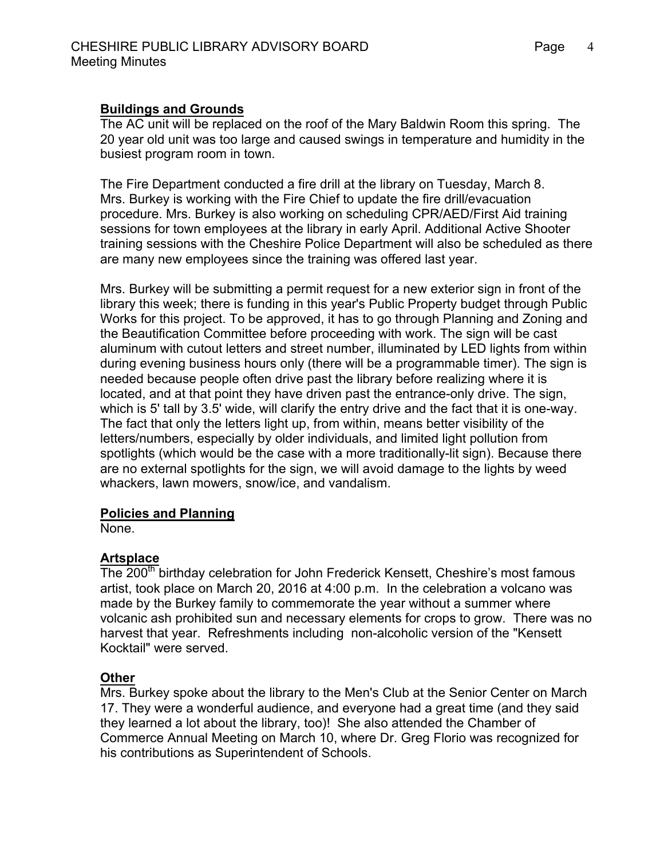#### **Buildings and Grounds**

The AC unit will be replaced on the roof of the Mary Baldwin Room this spring. The 20 year old unit was too large and caused swings in temperature and humidity in the busiest program room in town.

The Fire Department conducted a fire drill at the library on Tuesday, March 8. Mrs. Burkey is working with the Fire Chief to update the fire drill/evacuation procedure. Mrs. Burkey is also working on scheduling CPR/AED/First Aid training sessions for town employees at the library in early April. Additional Active Shooter training sessions with the Cheshire Police Department will also be scheduled as there are many new employees since the training was offered last year.

Mrs. Burkey will be submitting a permit request for a new exterior sign in front of the library this week; there is funding in this year's Public Property budget through Public Works for this project. To be approved, it has to go through Planning and Zoning and the Beautification Committee before proceeding with work. The sign will be cast aluminum with cutout letters and street number, illuminated by LED lights from within during evening business hours only (there will be a programmable timer). The sign is needed because people often drive past the library before realizing where it is located, and at that point they have driven past the entrance-only drive. The sign, which is 5' tall by 3.5' wide, will clarify the entry drive and the fact that it is one-way. The fact that only the letters light up, from within, means better visibility of the letters/numbers, especially by older individuals, and limited light pollution from spotlights (which would be the case with a more traditionally-lit sign). Because there are no external spotlights for the sign, we will avoid damage to the lights by weed whackers, lawn mowers, snow/ice, and vandalism.

#### **Policies and Planning**

None.

## **Artsplace**

The 200<sup>th</sup> birthday celebration for John Frederick Kensett, Cheshire's most famous artist, took place on March 20, 2016 at 4:00 p.m. In the celebration a volcano was made by the Burkey family to commemorate the year without a summer where volcanic ash prohibited sun and necessary elements for crops to grow. There was no harvest that year. Refreshments including non-alcoholic version of the "Kensett Kocktail" were served.

## **Other**

Mrs. Burkey spoke about the library to the Men's Club at the Senior Center on March 17. They were a wonderful audience, and everyone had a great time (and they said they learned a lot about the library, too)! She also attended the Chamber of Commerce Annual Meeting on March 10, where Dr. Greg Florio was recognized for his contributions as Superintendent of Schools.